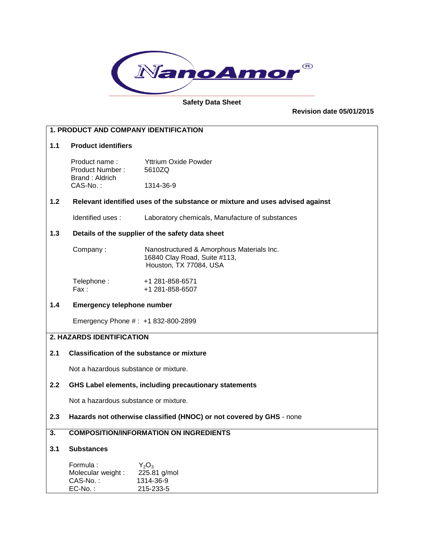

#### **Safety Data Sheet**

**Revision date 05/01/2015**

# **1. PRODUCT AND COMPANY IDENTIFICATION 1.1 Product identifiers** Product name : Yttrium Oxide Powder Product Number : 5610ZQ Brand : Aldrich CAS-No. : 1314-36-9 **1.2 Relevant identified uses of the substance or mixture and uses advised against** Identified uses : Laboratory chemicals, Manufacture of substances **1.3 Details of the supplier of the safety data sheet** Company : Nanostructured & Amorphous Materials Inc. 16840 Clay Road, Suite #113, Houston, TX 77084, USA Telephone: +1 281-858-6571 Fax: +1 281-858-6507 **1.4 Emergency telephone number** Emergency Phone # : +1 832-800-2899 **2. HAZARDS IDENTIFICATION 2.1 Classification of the substance or mixture** Not a hazardous substance or mixture. **2.2 GHS Label elements, including precautionary statements** Not a hazardous substance or mixture. **2.3 Hazards not otherwise classified (HNOC) or not covered by GHS** - none **3. COMPOSITION/INFORMATION ON INGREDIENTS 3.1 Substances** Formula :  $Y_2O_3$ <br>Molecular weight : 225.81 g/mol Molecular weight : CAS-No. : 1314-36-9 EC-No. : 215-233-5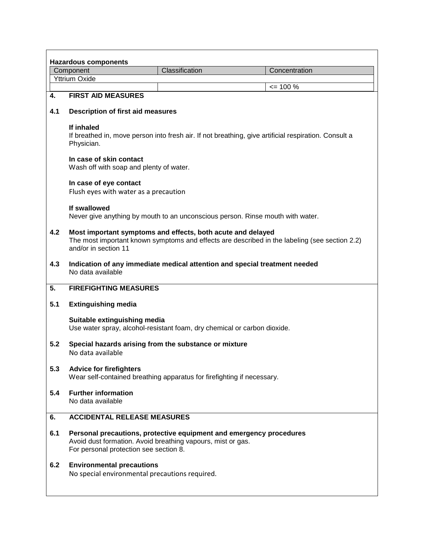| <b>Hazardous components</b> |                                                                                                                                                                                      |                |               |  |  |  |
|-----------------------------|--------------------------------------------------------------------------------------------------------------------------------------------------------------------------------------|----------------|---------------|--|--|--|
|                             | Component                                                                                                                                                                            | Classification | Concentration |  |  |  |
|                             | <b>Yttrium Oxide</b>                                                                                                                                                                 |                |               |  |  |  |
|                             |                                                                                                                                                                                      |                | $\leq$ 100 %  |  |  |  |
| 4.                          | <b>FIRST AID MEASURES</b>                                                                                                                                                            |                |               |  |  |  |
| 4.1                         | <b>Description of first aid measures</b>                                                                                                                                             |                |               |  |  |  |
|                             | If inhaled<br>If breathed in, move person into fresh air. If not breathing, give artificial respiration. Consult a<br>Physician.                                                     |                |               |  |  |  |
|                             | In case of skin contact<br>Wash off with soap and plenty of water.                                                                                                                   |                |               |  |  |  |
|                             | In case of eye contact<br>Flush eyes with water as a precaution                                                                                                                      |                |               |  |  |  |
|                             | If swallowed<br>Never give anything by mouth to an unconscious person. Rinse mouth with water.                                                                                       |                |               |  |  |  |
| 4.2                         | Most important symptoms and effects, both acute and delayed<br>The most important known symptoms and effects are described in the labeling (see section 2.2)<br>and/or in section 11 |                |               |  |  |  |
| 4.3                         | Indication of any immediate medical attention and special treatment needed<br>No data available                                                                                      |                |               |  |  |  |
| 5.                          | <b>FIREFIGHTING MEASURES</b>                                                                                                                                                         |                |               |  |  |  |
| 5.1                         | <b>Extinguishing media</b>                                                                                                                                                           |                |               |  |  |  |
|                             | Suitable extinguishing media<br>Use water spray, alcohol-resistant foam, dry chemical or carbon dioxide.                                                                             |                |               |  |  |  |
| 5.2                         | Special hazards arising from the substance or mixture<br>No data available                                                                                                           |                |               |  |  |  |
| 5.3                         | <b>Advice for firefighters</b><br>Wear self-contained breathing apparatus for firefighting if necessary.                                                                             |                |               |  |  |  |
| 5.4                         | <b>Further information</b><br>No data available                                                                                                                                      |                |               |  |  |  |
| 6.                          | <b>ACCIDENTAL RELEASE MEASURES</b>                                                                                                                                                   |                |               |  |  |  |
| 6.1                         | Personal precautions, protective equipment and emergency procedures<br>Avoid dust formation. Avoid breathing vapours, mist or gas.<br>For personal protection see section 8.         |                |               |  |  |  |
| 6.2                         | <b>Environmental precautions</b><br>No special environmental precautions required.                                                                                                   |                |               |  |  |  |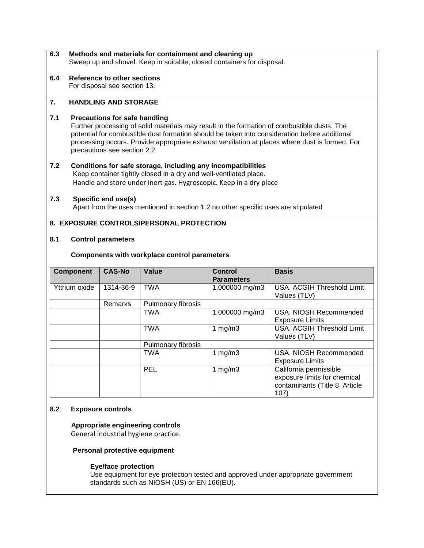- **6.3 Methods and materials for containment and cleaning up** Sweep up and shovel. Keep in suitable, closed containers for disposal.
- **6.4 Reference to other sections** For disposal see section 13.

# **7. HANDLING AND STORAGE**

# **7.1 Precautions for safe handling**

 Further processing of solid materials may result in the formation of combustible dusts. The potential for combustible dust formation should be taken into consideration before additional processing occurs. Provide appropriate exhaust ventilation at places where dust is formed. For precautions see section 2.2.

**7.2 Conditions for safe storage, including any incompatibilities** Keep container tightly closed in a dry and well-ventilated place. Handle and store under inert gas. Hygroscopic. Keep in a dry place

# **7.3 Specific end use(s)**

Apart from the uses mentioned in section 1.2 no other specific uses are stipulated

# **8. EXPOSURE CONTROLS/PERSONAL PROTECTION**

# **8.1 Control parameters**

#### **Components with workplace control parameters**

| <b>Component</b> | <b>CAS-No</b> | Value              | <b>Control</b><br><b>Parameters</b> | <b>Basis</b>                                                                                     |
|------------------|---------------|--------------------|-------------------------------------|--------------------------------------------------------------------------------------------------|
| Yttrium oxide    | 1314-36-9     | <b>TWA</b>         | 1.000000 mg/m3                      | USA. ACGIH Threshold Limit<br>Values (TLV)                                                       |
|                  | Remarks       | Pulmonary fibrosis |                                     |                                                                                                  |
|                  |               | <b>TWA</b>         | 1.000000 mg/m3                      | USA. NIOSH Recommended<br><b>Exposure Limits</b>                                                 |
|                  |               | <b>TWA</b>         | 1 $mg/m3$                           | USA. ACGIH Threshold Limit<br>Values (TLV)                                                       |
|                  |               | Pulmonary fibrosis |                                     |                                                                                                  |
|                  |               | <b>TWA</b>         | 1 $mg/m3$                           | USA. NIOSH Recommended<br><b>Exposure Limits</b>                                                 |
|                  |               | <b>PEL</b>         | 1 $mg/m3$                           | California permissible<br>exposure limits for chemical<br>contaminants (Title 8, Article<br>107) |

# **8.2 Exposure controls**

 **Appropriate engineering controls** General industrial hygiene practice.

 **Personal protective equipment**

#### **Eye/face protection**

 Use equipment for eye protection tested and approved under appropriate government standards such as NIOSH (US) or EN 166(EU).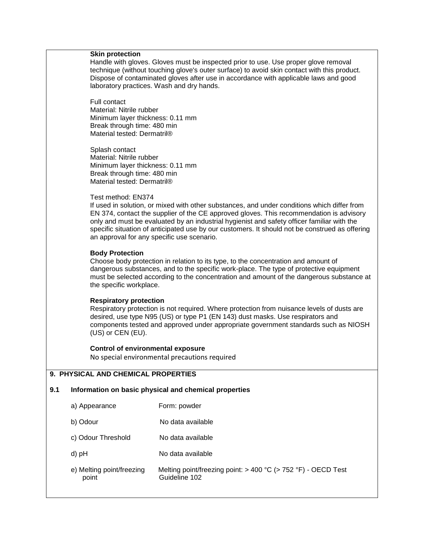#### **Skin protection**

 Handle with gloves. Gloves must be inspected prior to use. Use proper glove removal technique (without touching glove's outer surface) to avoid skin contact with this product. Dispose of contaminated gloves after use in accordance with applicable laws and good laboratory practices. Wash and dry hands.

 Full contact Material: Nitrile rubber Minimum layer thickness: 0.11 mm Break through time: 480 min Material tested: Dermatril®

 Splash contact Material: Nitrile rubber Minimum layer thickness: 0.11 mm Break through time: 480 min Material tested: Dermatril®

#### Test method: EN374

 If used in solution, or mixed with other substances, and under conditions which differ from EN 374, contact the supplier of the CE approved gloves. This recommendation is advisory only and must be evaluated by an industrial hygienist and safety officer familiar with the specific situation of anticipated use by our customers. It should not be construed as offering an approval for any specific use scenario.

#### **Body Protection**

 Choose body protection in relation to its type, to the concentration and amount of dangerous substances, and to the specific work-place. The type of protective equipment must be selected according to the concentration and amount of the dangerous substance at the specific workplace.

#### **Respiratory protection**

 Respiratory protection is not required. Where protection from nuisance levels of dusts are desired, use type N95 (US) or type P1 (EN 143) dust masks. Use respirators and components tested and approved under appropriate government standards such as NIOSH (US) or CEN (EU).

#### **Control of environmental exposure**

No special environmental precautions required

# **9. PHYSICAL AND CHEMICAL PROPERTIES**

# **9.1 Information on basic physical and chemical properties**

| a) Appearance                      | Form: powder                                                                        |
|------------------------------------|-------------------------------------------------------------------------------------|
| b) Odour                           | No data available                                                                   |
| c) Odour Threshold                 | No data available                                                                   |
| d) pH                              | No data available                                                                   |
| e) Melting point/freezing<br>point | Melting point/freezing point: $>$ 400 °C ( $>$ 752 °F) - OECD Test<br>Guideline 102 |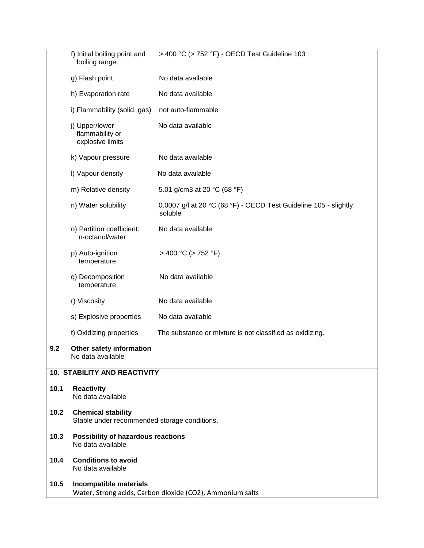|      | > 400 °C (> 752 °F) - OECD Test Guideline 103<br>f) Initial boiling point and<br>boiling range |                                                                             |  |  |  |
|------|------------------------------------------------------------------------------------------------|-----------------------------------------------------------------------------|--|--|--|
|      | g) Flash point                                                                                 | No data available                                                           |  |  |  |
|      | h) Evaporation rate                                                                            | No data available                                                           |  |  |  |
|      | i) Flammability (solid, gas)                                                                   | not auto-flammable                                                          |  |  |  |
|      | j) Upper/lower<br>flammability or<br>explosive limits                                          | No data available                                                           |  |  |  |
|      | k) Vapour pressure                                                                             | No data available                                                           |  |  |  |
|      | I) Vapour density                                                                              | No data available                                                           |  |  |  |
|      | m) Relative density                                                                            | 5.01 g/cm3 at 20 °C (68 °F)                                                 |  |  |  |
|      | n) Water solubility                                                                            | 0.0007 g/l at 20 °C (68 °F) - OECD Test Guideline 105 - slightly<br>soluble |  |  |  |
|      | o) Partition coefficient:<br>n-octanol/water                                                   | No data available                                                           |  |  |  |
|      | p) Auto-ignition<br>temperature                                                                | $>$ 400 °C ( $>$ 752 °F)                                                    |  |  |  |
|      | q) Decomposition<br>temperature                                                                | No data available                                                           |  |  |  |
|      | r) Viscosity                                                                                   | No data available                                                           |  |  |  |
|      | s) Explosive properties                                                                        | No data available                                                           |  |  |  |
|      | t) Oxidizing properties                                                                        | The substance or mixture is not classified as oxidizing.                    |  |  |  |
| 9.2  | Other safety information<br>No data available                                                  |                                                                             |  |  |  |
|      | <b>10. STABILITY AND REACTIVITY</b>                                                            |                                                                             |  |  |  |
| 10.1 | <b>Reactivity</b><br>No data available                                                         |                                                                             |  |  |  |
| 10.2 | <b>Chemical stability</b><br>Stable under recommended storage conditions.                      |                                                                             |  |  |  |
| 10.3 | Possibility of hazardous reactions<br>No data available                                        |                                                                             |  |  |  |
| 10.4 | <b>Conditions to avoid</b><br>No data available                                                |                                                                             |  |  |  |
| 10.5 | Incompatible materials<br>Water, Strong acids, Carbon dioxide (CO2), Ammonium salts            |                                                                             |  |  |  |
|      |                                                                                                |                                                                             |  |  |  |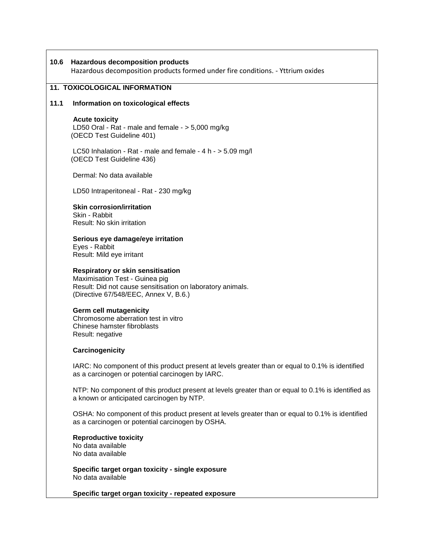# **10.6 Hazardous decomposition products**

Hazardous decomposition products formed under fire conditions. - Yttrium oxides

# **11. TOXICOLOGICAL INFORMATION**

#### **11.1 Information on toxicological effects**

#### **Acute toxicity**

 LD50 Oral - Rat - male and female - > 5,000 mg/kg (OECD Test Guideline 401)

 LC50 Inhalation - Rat - male and female - 4 h - > 5.09 mg/l (OECD Test Guideline 436)

Dermal: No data available

LD50 Intraperitoneal - Rat - 230 mg/kg

 **Skin corrosion/irritation**  Skin - Rabbit Result: No skin irritation

 **Serious eye damage/eye irritation**  Eyes - Rabbit Result: Mild eye irritant

#### **Respiratory or skin sensitisation**

 Maximisation Test - Guinea pig Result: Did not cause sensitisation on laboratory animals. (Directive 67/548/EEC, Annex V, B.6.)

#### **Germ cell mutagenicity**

 Chromosome aberration test in vitro Chinese hamster fibroblasts Result: negative

#### **Carcinogenicity**

 IARC: No component of this product present at levels greater than or equal to 0.1% is identified as a carcinogen or potential carcinogen by IARC.

 NTP: No component of this product present at levels greater than or equal to 0.1% is identified as a known or anticipated carcinogen by NTP.

 OSHA: No component of this product present at levels greater than or equal to 0.1% is identified as a carcinogen or potential carcinogen by OSHA.

 **Reproductive toxicity** No data available No data available

 **Specific target organ toxicity - single exposure** No data available

 **Specific target organ toxicity - repeated exposure**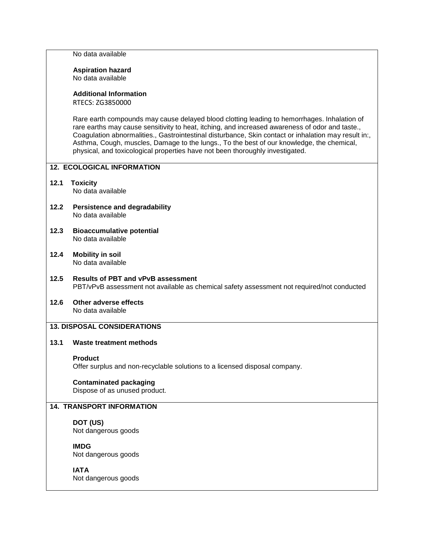No data available

#### **Aspiration hazard** No data available

# **Additional Information**

RTECS: ZG3850000

 Rare earth compounds may cause delayed blood clotting leading to hemorrhages. Inhalation of rare earths may cause sensitivity to heat, itching, and increased awareness of odor and taste., Coagulation abnormalities., Gastrointestinal disturbance, Skin contact or inhalation may result in:, Asthma, Cough, muscles, Damage to the lungs., To the best of our knowledge, the chemical, physical, and toxicological properties have not been thoroughly investigated.

# **12. ECOLOGICAL INFORMATION**

- **12.1 Toxicity** No data available
- **12.2 Persistence and degradability** No data available
- **12.3 Bioaccumulative potential** No data available
- **12.4 Mobility in soil** No data available
- **12.5 Results of PBT and vPvB assessment** PBT/vPvB assessment not available as chemical safety assessment not required/not conducted
- **12.6 Other adverse effects** No data available

# **13. DISPOSAL CONSIDERATIONS**

# **13.1 Waste treatment methods**

## **Product**

Offer surplus and non-recyclable solutions to a licensed disposal company.

# **Contaminated packaging**

Dispose of as unused product.

# **14. TRANSPORT INFORMATION**

# **DOT (US)**

Not dangerous goods

## **IMDG**

Not dangerous goods

# **IATA**

Not dangerous goods